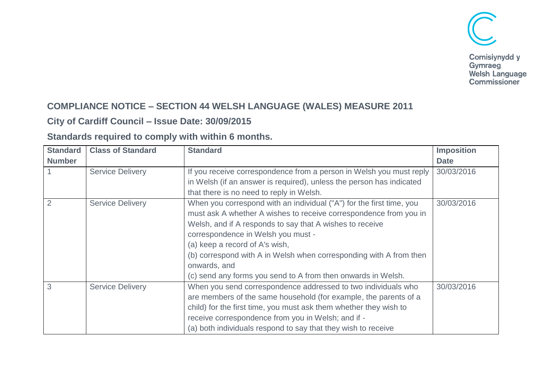

### **COMPLIANCE NOTICE – SECTION 44 WELSH LANGUAGE (WALES) MEASURE 2011**

## **City of Cardiff Council – Issue Date: 30/09/2015**

#### **Standards required to comply with within 6 months.**

| <b>Standard</b> | <b>Class of Standard</b> | <b>Standard</b>                                                      | <b>Imposition</b> |
|-----------------|--------------------------|----------------------------------------------------------------------|-------------------|
| <b>Number</b>   |                          |                                                                      | <b>Date</b>       |
|                 | <b>Service Delivery</b>  | If you receive correspondence from a person in Welsh you must reply  | 30/03/2016        |
|                 |                          | in Welsh (if an answer is required), unless the person has indicated |                   |
|                 |                          | that there is no need to reply in Welsh.                             |                   |
| $\overline{2}$  | <b>Service Delivery</b>  | When you correspond with an individual ("A") for the first time, you | 30/03/2016        |
|                 |                          | must ask A whether A wishes to receive correspondence from you in    |                   |
|                 |                          | Welsh, and if A responds to say that A wishes to receive             |                   |
|                 |                          | correspondence in Welsh you must -                                   |                   |
|                 |                          | (a) keep a record of A's wish,                                       |                   |
|                 |                          | (b) correspond with A in Welsh when corresponding with A from then   |                   |
|                 |                          | onwards, and                                                         |                   |
|                 |                          | (c) send any forms you send to A from then onwards in Welsh.         |                   |
| 3               | <b>Service Delivery</b>  | When you send correspondence addressed to two individuals who        | 30/03/2016        |
|                 |                          | are members of the same household (for example, the parents of a     |                   |
|                 |                          | child) for the first time, you must ask them whether they wish to    |                   |
|                 |                          | receive correspondence from you in Welsh; and if -                   |                   |
|                 |                          | (a) both individuals respond to say that they wish to receive        |                   |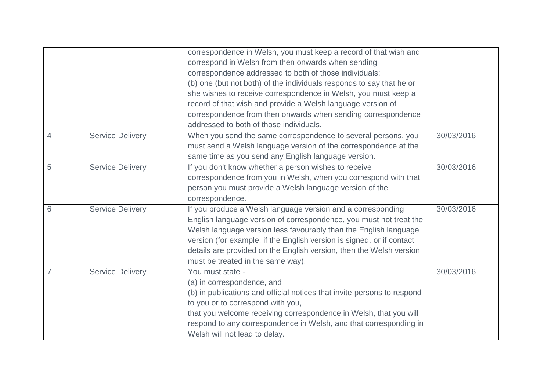|   |                         | correspondence in Welsh, you must keep a record of that wish and        |            |
|---|-------------------------|-------------------------------------------------------------------------|------------|
|   |                         | correspond in Welsh from then onwards when sending                      |            |
|   |                         | correspondence addressed to both of those individuals;                  |            |
|   |                         | (b) one (but not both) of the individuals responds to say that he or    |            |
|   |                         | she wishes to receive correspondence in Welsh, you must keep a          |            |
|   |                         | record of that wish and provide a Welsh language version of             |            |
|   |                         | correspondence from then onwards when sending correspondence            |            |
|   |                         | addressed to both of those individuals.                                 |            |
| 4 | <b>Service Delivery</b> | When you send the same correspondence to several persons, you           | 30/03/2016 |
|   |                         | must send a Welsh language version of the correspondence at the         |            |
|   |                         | same time as you send any English language version.                     |            |
| 5 | <b>Service Delivery</b> | If you don't know whether a person wishes to receive                    | 30/03/2016 |
|   |                         | correspondence from you in Welsh, when you correspond with that         |            |
|   |                         | person you must provide a Welsh language version of the                 |            |
|   |                         | correspondence.                                                         |            |
| 6 | <b>Service Delivery</b> | If you produce a Welsh language version and a corresponding             | 30/03/2016 |
|   |                         | English language version of correspondence, you must not treat the      |            |
|   |                         | Welsh language version less favourably than the English language        |            |
|   |                         | version (for example, if the English version is signed, or if contact   |            |
|   |                         | details are provided on the English version, then the Welsh version     |            |
|   |                         | must be treated in the same way).                                       |            |
| 7 | <b>Service Delivery</b> | You must state -                                                        | 30/03/2016 |
|   |                         | (a) in correspondence, and                                              |            |
|   |                         | (b) in publications and official notices that invite persons to respond |            |
|   |                         | to you or to correspond with you,                                       |            |
|   |                         | that you welcome receiving correspondence in Welsh, that you will       |            |
|   |                         | respond to any correspondence in Welsh, and that corresponding in       |            |
|   |                         | Welsh will not lead to delay.                                           |            |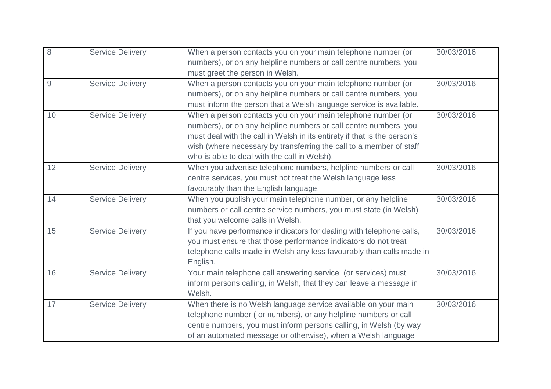| 8  | <b>Service Delivery</b> | When a person contacts you on your main telephone number (or             | 30/03/2016 |
|----|-------------------------|--------------------------------------------------------------------------|------------|
|    |                         | numbers), or on any helpline numbers or call centre numbers, you         |            |
|    |                         | must greet the person in Welsh.                                          |            |
| 9  | <b>Service Delivery</b> | When a person contacts you on your main telephone number (or             | 30/03/2016 |
|    |                         | numbers), or on any helpline numbers or call centre numbers, you         |            |
|    |                         | must inform the person that a Welsh language service is available.       |            |
| 10 | <b>Service Delivery</b> | When a person contacts you on your main telephone number (or             | 30/03/2016 |
|    |                         | numbers), or on any helpline numbers or call centre numbers, you         |            |
|    |                         | must deal with the call in Welsh in its entirety if that is the person's |            |
|    |                         | wish (where necessary by transferring the call to a member of staff      |            |
|    |                         | who is able to deal with the call in Welsh).                             |            |
| 12 | <b>Service Delivery</b> | When you advertise telephone numbers, helpline numbers or call           | 30/03/2016 |
|    |                         | centre services, you must not treat the Welsh language less              |            |
|    |                         | favourably than the English language.                                    |            |
| 14 | <b>Service Delivery</b> | When you publish your main telephone number, or any helpline             | 30/03/2016 |
|    |                         | numbers or call centre service numbers, you must state (in Welsh)        |            |
|    |                         | that you welcome calls in Welsh.                                         |            |
| 15 | <b>Service Delivery</b> | If you have performance indicators for dealing with telephone calls,     | 30/03/2016 |
|    |                         | you must ensure that those performance indicators do not treat           |            |
|    |                         | telephone calls made in Welsh any less favourably than calls made in     |            |
|    |                         | English.                                                                 |            |
| 16 | <b>Service Delivery</b> | Your main telephone call answering service (or services) must            | 30/03/2016 |
|    |                         | inform persons calling, in Welsh, that they can leave a message in       |            |
|    |                         | Welsh.                                                                   |            |
| 17 | <b>Service Delivery</b> | When there is no Welsh language service available on your main           | 30/03/2016 |
|    |                         | telephone number (or numbers), or any helpline numbers or call           |            |
|    |                         | centre numbers, you must inform persons calling, in Welsh (by way        |            |
|    |                         | of an automated message or otherwise), when a Welsh language             |            |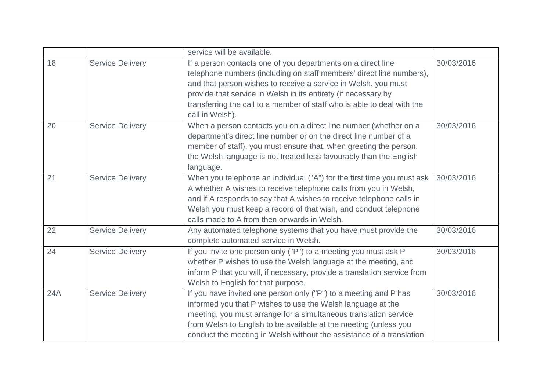|     |                         | service will be available.                                                                                                           |            |
|-----|-------------------------|--------------------------------------------------------------------------------------------------------------------------------------|------------|
| 18  | <b>Service Delivery</b> | If a person contacts one of you departments on a direct line<br>telephone numbers (including on staff members' direct line numbers), | 30/03/2016 |
|     |                         | and that person wishes to receive a service in Welsh, you must                                                                       |            |
|     |                         | provide that service in Welsh in its entirety (if necessary by                                                                       |            |
|     |                         | transferring the call to a member of staff who is able to deal with the<br>call in Welsh).                                           |            |
| 20  | <b>Service Delivery</b> | When a person contacts you on a direct line number (whether on a                                                                     | 30/03/2016 |
|     |                         | department's direct line number or on the direct line number of a                                                                    |            |
|     |                         | member of staff), you must ensure that, when greeting the person,                                                                    |            |
|     |                         | the Welsh language is not treated less favourably than the English                                                                   |            |
|     |                         | language.                                                                                                                            |            |
| 21  | <b>Service Delivery</b> | When you telephone an individual ("A") for the first time you must ask                                                               | 30/03/2016 |
|     |                         | A whether A wishes to receive telephone calls from you in Welsh,                                                                     |            |
|     |                         | and if A responds to say that A wishes to receive telephone calls in                                                                 |            |
|     |                         | Welsh you must keep a record of that wish, and conduct telephone                                                                     |            |
|     |                         | calls made to A from then onwards in Welsh.                                                                                          |            |
| 22  | <b>Service Delivery</b> | Any automated telephone systems that you have must provide the<br>complete automated service in Welsh.                               | 30/03/2016 |
| 24  | <b>Service Delivery</b> | If you invite one person only ("P") to a meeting you must ask P                                                                      | 30/03/2016 |
|     |                         | whether P wishes to use the Welsh language at the meeting, and                                                                       |            |
|     |                         | inform P that you will, if necessary, provide a translation service from                                                             |            |
|     |                         | Welsh to English for that purpose.                                                                                                   |            |
| 24A | <b>Service Delivery</b> | If you have invited one person only ("P") to a meeting and P has                                                                     | 30/03/2016 |
|     |                         | informed you that P wishes to use the Welsh language at the                                                                          |            |
|     |                         | meeting, you must arrange for a simultaneous translation service                                                                     |            |
|     |                         | from Welsh to English to be available at the meeting (unless you                                                                     |            |
|     |                         | conduct the meeting in Welsh without the assistance of a translation                                                                 |            |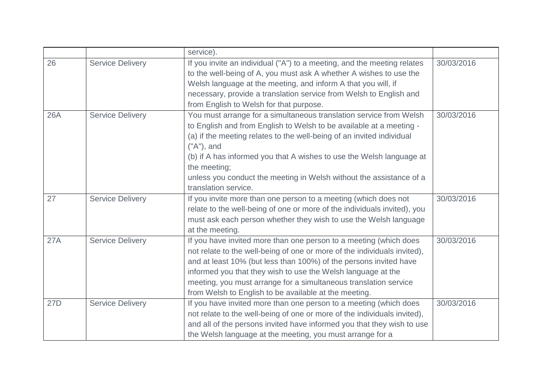|            |                         | service).                                                                |            |
|------------|-------------------------|--------------------------------------------------------------------------|------------|
| 26         | <b>Service Delivery</b> | If you invite an individual ("A") to a meeting, and the meeting relates  | 30/03/2016 |
|            |                         | to the well-being of A, you must ask A whether A wishes to use the       |            |
|            |                         | Welsh language at the meeting, and inform A that you will, if            |            |
|            |                         | necessary, provide a translation service from Welsh to English and       |            |
|            |                         | from English to Welsh for that purpose.                                  |            |
| <b>26A</b> | <b>Service Delivery</b> | You must arrange for a simultaneous translation service from Welsh       | 30/03/2016 |
|            |                         | to English and from English to Welsh to be available at a meeting -      |            |
|            |                         | (a) if the meeting relates to the well-being of an invited individual    |            |
|            |                         | ("A"), and                                                               |            |
|            |                         | (b) if A has informed you that A wishes to use the Welsh language at     |            |
|            |                         | the meeting;                                                             |            |
|            |                         | unless you conduct the meeting in Welsh without the assistance of a      |            |
|            |                         | translation service.                                                     |            |
| 27         | <b>Service Delivery</b> | If you invite more than one person to a meeting (which does not          | 30/03/2016 |
|            |                         | relate to the well-being of one or more of the individuals invited), you |            |
|            |                         | must ask each person whether they wish to use the Welsh language         |            |
|            |                         | at the meeting.                                                          |            |
| 27A        | <b>Service Delivery</b> | If you have invited more than one person to a meeting (which does        | 30/03/2016 |
|            |                         | not relate to the well-being of one or more of the individuals invited), |            |
|            |                         | and at least 10% (but less than 100%) of the persons invited have        |            |
|            |                         | informed you that they wish to use the Welsh language at the             |            |
|            |                         | meeting, you must arrange for a simultaneous translation service         |            |
|            |                         | from Welsh to English to be available at the meeting.                    |            |
| 27D        | <b>Service Delivery</b> | If you have invited more than one person to a meeting (which does        | 30/03/2016 |
|            |                         | not relate to the well-being of one or more of the individuals invited), |            |
|            |                         | and all of the persons invited have informed you that they wish to use   |            |
|            |                         | the Welsh language at the meeting, you must arrange for a                |            |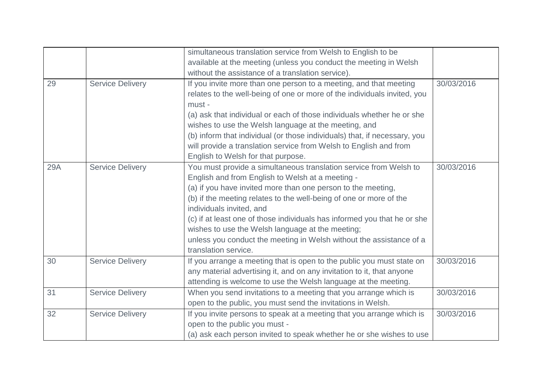|     |                         | simultaneous translation service from Welsh to English to be              |            |
|-----|-------------------------|---------------------------------------------------------------------------|------------|
|     |                         | available at the meeting (unless you conduct the meeting in Welsh         |            |
|     |                         | without the assistance of a translation service).                         |            |
| 29  | <b>Service Delivery</b> | If you invite more than one person to a meeting, and that meeting         | 30/03/2016 |
|     |                         | relates to the well-being of one or more of the individuals invited, you  |            |
|     |                         | must -                                                                    |            |
|     |                         | (a) ask that individual or each of those individuals whether he or she    |            |
|     |                         | wishes to use the Welsh language at the meeting, and                      |            |
|     |                         | (b) inform that individual (or those individuals) that, if necessary, you |            |
|     |                         | will provide a translation service from Welsh to English and from         |            |
|     |                         | English to Welsh for that purpose.                                        |            |
| 29A | <b>Service Delivery</b> | You must provide a simultaneous translation service from Welsh to         | 30/03/2016 |
|     |                         | English and from English to Welsh at a meeting -                          |            |
|     |                         | (a) if you have invited more than one person to the meeting,              |            |
|     |                         | (b) if the meeting relates to the well-being of one or more of the        |            |
|     |                         | individuals invited, and                                                  |            |
|     |                         | (c) if at least one of those individuals has informed you that he or she  |            |
|     |                         | wishes to use the Welsh language at the meeting;                          |            |
|     |                         | unless you conduct the meeting in Welsh without the assistance of a       |            |
|     |                         | translation service.                                                      |            |
| 30  | <b>Service Delivery</b> | If you arrange a meeting that is open to the public you must state on     | 30/03/2016 |
|     |                         | any material advertising it, and on any invitation to it, that anyone     |            |
|     |                         | attending is welcome to use the Welsh language at the meeting.            |            |
| 31  | <b>Service Delivery</b> | When you send invitations to a meeting that you arrange which is          | 30/03/2016 |
|     |                         | open to the public, you must send the invitations in Welsh.               |            |
| 32  | <b>Service Delivery</b> | If you invite persons to speak at a meeting that you arrange which is     | 30/03/2016 |
|     |                         | open to the public you must -                                             |            |
|     |                         | (a) ask each person invited to speak whether he or she wishes to use      |            |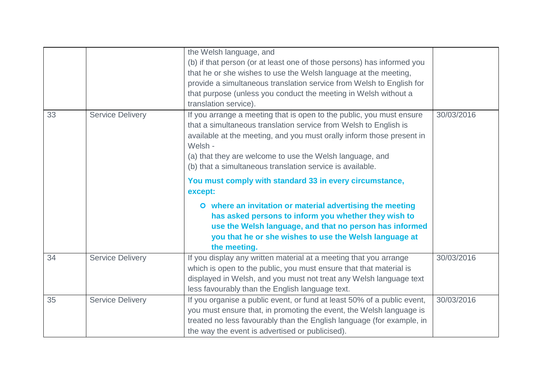|    |                         | the Welsh language, and<br>(b) if that person (or at least one of those persons) has informed you<br>that he or she wishes to use the Welsh language at the meeting,<br>provide a simultaneous translation service from Welsh to English for<br>that purpose (unless you conduct the meeting in Welsh without a<br>translation service).              |            |
|----|-------------------------|-------------------------------------------------------------------------------------------------------------------------------------------------------------------------------------------------------------------------------------------------------------------------------------------------------------------------------------------------------|------------|
| 33 | <b>Service Delivery</b> | If you arrange a meeting that is open to the public, you must ensure<br>that a simultaneous translation service from Welsh to English is<br>available at the meeting, and you must orally inform those present in<br>Welsh -<br>(a) that they are welcome to use the Welsh language, and<br>(b) that a simultaneous translation service is available. | 30/03/2016 |
|    |                         | You must comply with standard 33 in every circumstance,<br>except:                                                                                                                                                                                                                                                                                    |            |
|    |                         | O where an invitation or material advertising the meeting<br>has asked persons to inform you whether they wish to<br>use the Welsh language, and that no person has informed<br>you that he or she wishes to use the Welsh language at<br>the meeting.                                                                                                |            |
| 34 | <b>Service Delivery</b> | If you display any written material at a meeting that you arrange<br>which is open to the public, you must ensure that that material is<br>displayed in Welsh, and you must not treat any Welsh language text<br>less favourably than the English language text.                                                                                      | 30/03/2016 |
| 35 | <b>Service Delivery</b> | If you organise a public event, or fund at least 50% of a public event,<br>you must ensure that, in promoting the event, the Welsh language is<br>treated no less favourably than the English language (for example, in<br>the way the event is advertised or publicised).                                                                            | 30/03/2016 |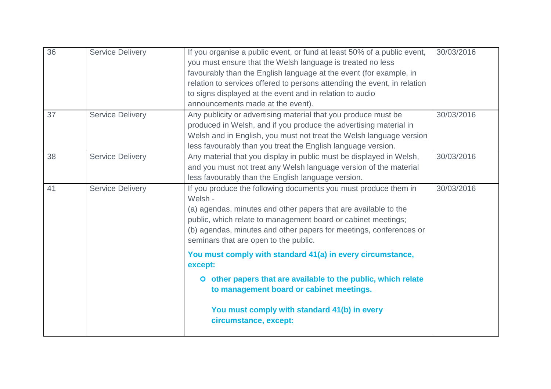| 36 | <b>Service Delivery</b> | If you organise a public event, or fund at least 50% of a public event,<br>you must ensure that the Welsh language is treated no less<br>favourably than the English language at the event (for example, in<br>relation to services offered to persons attending the event, in relation<br>to signs displayed at the event and in relation to audio<br>announcements made at the event). | 30/03/2016 |
|----|-------------------------|------------------------------------------------------------------------------------------------------------------------------------------------------------------------------------------------------------------------------------------------------------------------------------------------------------------------------------------------------------------------------------------|------------|
| 37 | <b>Service Delivery</b> | Any publicity or advertising material that you produce must be<br>produced in Welsh, and if you produce the advertising material in<br>Welsh and in English, you must not treat the Welsh language version<br>less favourably than you treat the English language version.                                                                                                               | 30/03/2016 |
| 38 | <b>Service Delivery</b> | Any material that you display in public must be displayed in Welsh,<br>and you must not treat any Welsh language version of the material<br>less favourably than the English language version.                                                                                                                                                                                           | 30/03/2016 |
| 41 | <b>Service Delivery</b> | If you produce the following documents you must produce them in<br>Welsh -<br>(a) agendas, minutes and other papers that are available to the<br>public, which relate to management board or cabinet meetings;<br>(b) agendas, minutes and other papers for meetings, conferences or<br>seminars that are open to the public.                                                            | 30/03/2016 |
|    |                         | You must comply with standard 41(a) in every circumstance,<br>except:<br>O other papers that are available to the public, which relate                                                                                                                                                                                                                                                   |            |
|    |                         | to management board or cabinet meetings.<br>You must comply with standard 41(b) in every<br>circumstance, except:                                                                                                                                                                                                                                                                        |            |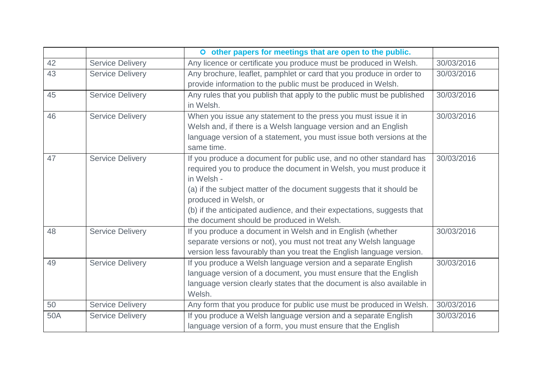|     |                         | O other papers for meetings that are open to the public.                           |            |
|-----|-------------------------|------------------------------------------------------------------------------------|------------|
| 42  | <b>Service Delivery</b> | Any licence or certificate you produce must be produced in Welsh.                  | 30/03/2016 |
| 43  | <b>Service Delivery</b> | Any brochure, leaflet, pamphlet or card that you produce in order to               | 30/03/2016 |
|     |                         | provide information to the public must be produced in Welsh.                       |            |
| 45  | <b>Service Delivery</b> | Any rules that you publish that apply to the public must be published<br>in Welsh. | 30/03/2016 |
| 46  | <b>Service Delivery</b> | When you issue any statement to the press you must issue it in                     | 30/03/2016 |
|     |                         | Welsh and, if there is a Welsh language version and an English                     |            |
|     |                         | language version of a statement, you must issue both versions at the<br>same time. |            |
| 47  | <b>Service Delivery</b> | If you produce a document for public use, and no other standard has                | 30/03/2016 |
|     |                         | required you to produce the document in Welsh, you must produce it                 |            |
|     |                         | in Welsh -                                                                         |            |
|     |                         | (a) if the subject matter of the document suggests that it should be               |            |
|     |                         | produced in Welsh, or                                                              |            |
|     |                         | (b) if the anticipated audience, and their expectations, suggests that             |            |
|     |                         | the document should be produced in Welsh.                                          |            |
| 48  | <b>Service Delivery</b> | If you produce a document in Welsh and in English (whether                         | 30/03/2016 |
|     |                         | separate versions or not), you must not treat any Welsh language                   |            |
|     |                         | version less favourably than you treat the English language version.               |            |
| 49  | <b>Service Delivery</b> | If you produce a Welsh language version and a separate English                     | 30/03/2016 |
|     |                         | language version of a document, you must ensure that the English                   |            |
|     |                         | language version clearly states that the document is also available in             |            |
|     |                         | Welsh.                                                                             |            |
| 50  | <b>Service Delivery</b> | Any form that you produce for public use must be produced in Welsh.                | 30/03/2016 |
| 50A | <b>Service Delivery</b> | If you produce a Welsh language version and a separate English                     | 30/03/2016 |
|     |                         | language version of a form, you must ensure that the English                       |            |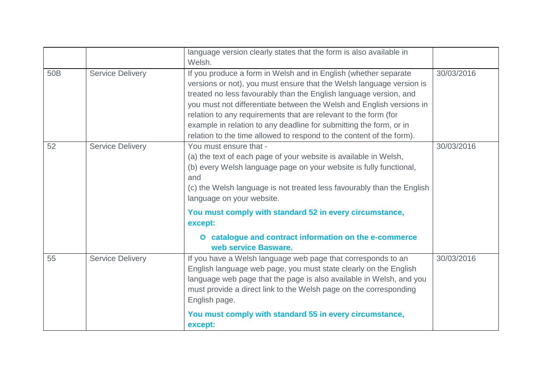|                 |                         | language version clearly states that the form is also available in<br>Welsh.                                                                                                                                                                                                                                                                                                                                                                                                                          |            |
|-----------------|-------------------------|-------------------------------------------------------------------------------------------------------------------------------------------------------------------------------------------------------------------------------------------------------------------------------------------------------------------------------------------------------------------------------------------------------------------------------------------------------------------------------------------------------|------------|
| 50 <sub>B</sub> | <b>Service Delivery</b> | If you produce a form in Welsh and in English (whether separate<br>versions or not), you must ensure that the Welsh language version is<br>treated no less favourably than the English language version, and<br>you must not differentiate between the Welsh and English versions in<br>relation to any requirements that are relevant to the form (for<br>example in relation to any deadline for submitting the form, or in<br>relation to the time allowed to respond to the content of the form). | 30/03/2016 |
| 52              | <b>Service Delivery</b> | You must ensure that -<br>(a) the text of each page of your website is available in Welsh,<br>(b) every Welsh language page on your website is fully functional,<br>and<br>(c) the Welsh language is not treated less favourably than the English<br>language on your website.<br>You must comply with standard 52 in every circumstance,<br>except:                                                                                                                                                  | 30/03/2016 |
|                 |                         | O catalogue and contract information on the e-commerce<br>web service Basware.                                                                                                                                                                                                                                                                                                                                                                                                                        |            |
| 55              | <b>Service Delivery</b> | If you have a Welsh language web page that corresponds to an<br>English language web page, you must state clearly on the English<br>language web page that the page is also available in Welsh, and you<br>must provide a direct link to the Welsh page on the corresponding<br>English page.                                                                                                                                                                                                         | 30/03/2016 |
|                 |                         | You must comply with standard 55 in every circumstance,<br>except:                                                                                                                                                                                                                                                                                                                                                                                                                                    |            |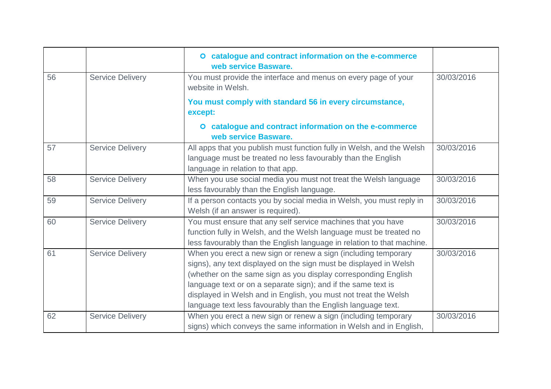|    |                         | O catalogue and contract information on the e-commerce<br>web service Basware.                                                                                                                                                                                                                                                                                                                             |            |
|----|-------------------------|------------------------------------------------------------------------------------------------------------------------------------------------------------------------------------------------------------------------------------------------------------------------------------------------------------------------------------------------------------------------------------------------------------|------------|
| 56 | <b>Service Delivery</b> | You must provide the interface and menus on every page of your<br>website in Welsh.                                                                                                                                                                                                                                                                                                                        | 30/03/2016 |
|    |                         | You must comply with standard 56 in every circumstance,<br>except:                                                                                                                                                                                                                                                                                                                                         |            |
|    |                         | O catalogue and contract information on the e-commerce<br>web service Basware.                                                                                                                                                                                                                                                                                                                             |            |
| 57 | <b>Service Delivery</b> | All apps that you publish must function fully in Welsh, and the Welsh<br>language must be treated no less favourably than the English<br>language in relation to that app.                                                                                                                                                                                                                                 | 30/03/2016 |
| 58 | <b>Service Delivery</b> | When you use social media you must not treat the Welsh language<br>less favourably than the English language.                                                                                                                                                                                                                                                                                              | 30/03/2016 |
| 59 | <b>Service Delivery</b> | If a person contacts you by social media in Welsh, you must reply in<br>Welsh (if an answer is required).                                                                                                                                                                                                                                                                                                  | 30/03/2016 |
| 60 | <b>Service Delivery</b> | You must ensure that any self service machines that you have<br>function fully in Welsh, and the Welsh language must be treated no<br>less favourably than the English language in relation to that machine.                                                                                                                                                                                               | 30/03/2016 |
| 61 | <b>Service Delivery</b> | When you erect a new sign or renew a sign (including temporary<br>signs), any text displayed on the sign must be displayed in Welsh<br>(whether on the same sign as you display corresponding English<br>language text or on a separate sign); and if the same text is<br>displayed in Welsh and in English, you must not treat the Welsh<br>language text less favourably than the English language text. | 30/03/2016 |
| 62 | <b>Service Delivery</b> | When you erect a new sign or renew a sign (including temporary<br>signs) which conveys the same information in Welsh and in English,                                                                                                                                                                                                                                                                       | 30/03/2016 |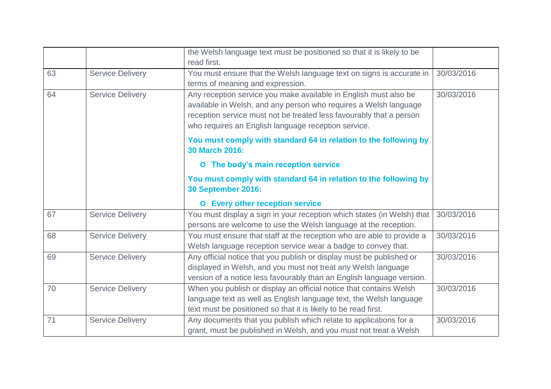|    |                         | the Welsh language text must be positioned so that it is likely to be<br>read first.                                                                                                                                                                               |            |
|----|-------------------------|--------------------------------------------------------------------------------------------------------------------------------------------------------------------------------------------------------------------------------------------------------------------|------------|
| 63 | <b>Service Delivery</b> | You must ensure that the Welsh language text on signs is accurate in<br>terms of meaning and expression.                                                                                                                                                           | 30/03/2016 |
| 64 | <b>Service Delivery</b> | Any reception service you make available in English must also be<br>available in Welsh, and any person who requires a Welsh language<br>reception service must not be treated less favourably that a person<br>who requires an English language reception service. | 30/03/2016 |
|    |                         | You must comply with standard 64 in relation to the following by<br>30 March 2016:                                                                                                                                                                                 |            |
|    |                         | O The body's main reception service                                                                                                                                                                                                                                |            |
|    |                         | You must comply with standard 64 in relation to the following by<br><b>30 September 2016:</b>                                                                                                                                                                      |            |
|    |                         | <b>O</b> Every other reception service                                                                                                                                                                                                                             |            |
| 67 | <b>Service Delivery</b> | You must display a sign in your reception which states (in Welsh) that<br>persons are welcome to use the Welsh language at the reception.                                                                                                                          | 30/03/2016 |
| 68 | <b>Service Delivery</b> | You must ensure that staff at the reception who are able to provide a<br>Welsh language reception service wear a badge to convey that.                                                                                                                             | 30/03/2016 |
| 69 | <b>Service Delivery</b> | Any official notice that you publish or display must be published or<br>displayed in Welsh, and you must not treat any Welsh language<br>version of a notice less favourably than an English language version.                                                     | 30/03/2016 |
| 70 | <b>Service Delivery</b> | When you publish or display an official notice that contains Welsh<br>language text as well as English language text, the Welsh language<br>text must be positioned so that it is likely to be read first.                                                         | 30/03/2016 |
| 71 | <b>Service Delivery</b> | Any documents that you publish which relate to applications for a<br>grant, must be published in Welsh, and you must not treat a Welsh                                                                                                                             | 30/03/2016 |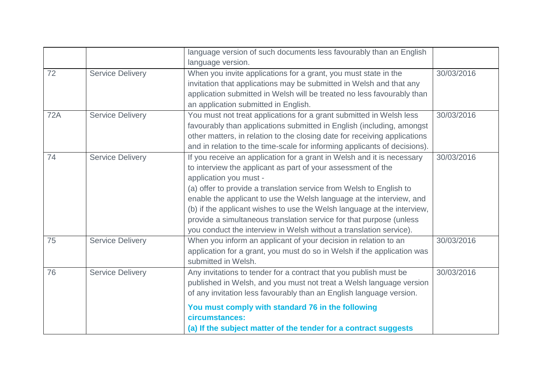|            |                         | language version of such documents less favourably than an English        |            |
|------------|-------------------------|---------------------------------------------------------------------------|------------|
|            |                         | language version.                                                         |            |
| 72         | <b>Service Delivery</b> | When you invite applications for a grant, you must state in the           | 30/03/2016 |
|            |                         | invitation that applications may be submitted in Welsh and that any       |            |
|            |                         | application submitted in Welsh will be treated no less favourably than    |            |
|            |                         | an application submitted in English.                                      |            |
| <b>72A</b> | <b>Service Delivery</b> | You must not treat applications for a grant submitted in Welsh less       | 30/03/2016 |
|            |                         | favourably than applications submitted in English (including, amongst     |            |
|            |                         | other matters, in relation to the closing date for receiving applications |            |
|            |                         | and in relation to the time-scale for informing applicants of decisions). |            |
| 74         | <b>Service Delivery</b> | If you receive an application for a grant in Welsh and it is necessary    | 30/03/2016 |
|            |                         | to interview the applicant as part of your assessment of the              |            |
|            |                         | application you must -                                                    |            |
|            |                         | (a) offer to provide a translation service from Welsh to English to       |            |
|            |                         | enable the applicant to use the Welsh language at the interview, and      |            |
|            |                         | (b) if the applicant wishes to use the Welsh language at the interview,   |            |
|            |                         | provide a simultaneous translation service for that purpose (unless       |            |
|            |                         | you conduct the interview in Welsh without a translation service).        |            |
| 75         | <b>Service Delivery</b> | When you inform an applicant of your decision in relation to an           | 30/03/2016 |
|            |                         | application for a grant, you must do so in Welsh if the application was   |            |
|            |                         | submitted in Welsh.                                                       |            |
| 76         | <b>Service Delivery</b> | Any invitations to tender for a contract that you publish must be         | 30/03/2016 |
|            |                         | published in Welsh, and you must not treat a Welsh language version       |            |
|            |                         | of any invitation less favourably than an English language version.       |            |
|            |                         | You must comply with standard 76 in the following                         |            |
|            |                         | circumstances:                                                            |            |
|            |                         | (a) If the subject matter of the tender for a contract suggests           |            |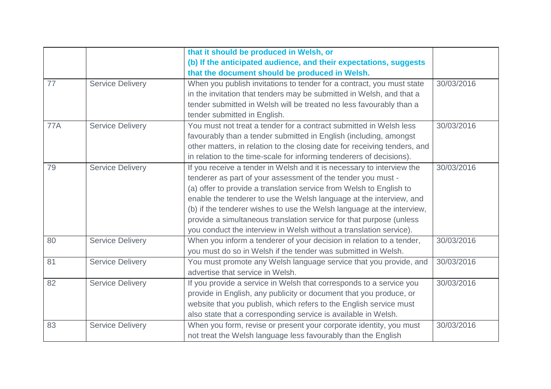|            |                         | that it should be produced in Welsh, or                                   |            |
|------------|-------------------------|---------------------------------------------------------------------------|------------|
|            |                         | (b) If the anticipated audience, and their expectations, suggests         |            |
|            |                         | that the document should be produced in Welsh.                            |            |
| 77         | <b>Service Delivery</b> | When you publish invitations to tender for a contract, you must state     | 30/03/2016 |
|            |                         | in the invitation that tenders may be submitted in Welsh, and that a      |            |
|            |                         | tender submitted in Welsh will be treated no less favourably than a       |            |
|            |                         | tender submitted in English.                                              |            |
| <b>77A</b> | <b>Service Delivery</b> | You must not treat a tender for a contract submitted in Welsh less        | 30/03/2016 |
|            |                         | favourably than a tender submitted in English (including, amongst         |            |
|            |                         | other matters, in relation to the closing date for receiving tenders, and |            |
|            |                         | in relation to the time-scale for informing tenderers of decisions).      |            |
| 79         | <b>Service Delivery</b> | If you receive a tender in Welsh and it is necessary to interview the     | 30/03/2016 |
|            |                         | tenderer as part of your assessment of the tender you must -              |            |
|            |                         | (a) offer to provide a translation service from Welsh to English to       |            |
|            |                         | enable the tenderer to use the Welsh language at the interview, and       |            |
|            |                         | (b) if the tenderer wishes to use the Welsh language at the interview,    |            |
|            |                         | provide a simultaneous translation service for that purpose (unless       |            |
|            |                         | you conduct the interview in Welsh without a translation service).        |            |
| 80         | <b>Service Delivery</b> | When you inform a tenderer of your decision in relation to a tender,      | 30/03/2016 |
|            |                         | you must do so in Welsh if the tender was submitted in Welsh.             |            |
| 81         | <b>Service Delivery</b> | You must promote any Welsh language service that you provide, and         | 30/03/2016 |
|            |                         | advertise that service in Welsh.                                          |            |
| 82         | <b>Service Delivery</b> | If you provide a service in Welsh that corresponds to a service you       | 30/03/2016 |
|            |                         | provide in English, any publicity or document that you produce, or        |            |
|            |                         | website that you publish, which refers to the English service must        |            |
|            |                         | also state that a corresponding service is available in Welsh.            |            |
| 83         | <b>Service Delivery</b> | When you form, revise or present your corporate identity, you must        | 30/03/2016 |
|            |                         | not treat the Welsh language less favourably than the English             |            |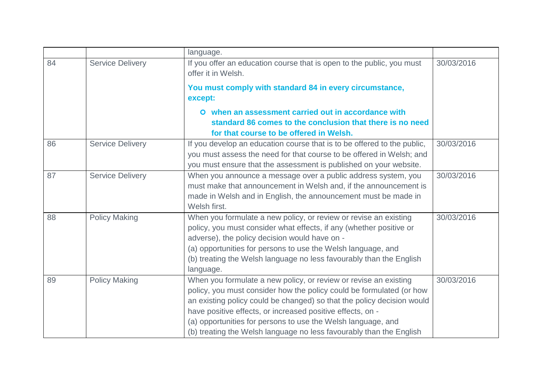|    |                         | language.                                                                                                                                                                                                                                                                                                                                                                                                               |            |
|----|-------------------------|-------------------------------------------------------------------------------------------------------------------------------------------------------------------------------------------------------------------------------------------------------------------------------------------------------------------------------------------------------------------------------------------------------------------------|------------|
| 84 | <b>Service Delivery</b> | If you offer an education course that is open to the public, you must<br>offer it in Welsh.                                                                                                                                                                                                                                                                                                                             | 30/03/2016 |
|    |                         | You must comply with standard 84 in every circumstance,<br>except:                                                                                                                                                                                                                                                                                                                                                      |            |
|    |                         | O when an assessment carried out in accordance with<br>standard 86 comes to the conclusion that there is no need<br>for that course to be offered in Welsh.                                                                                                                                                                                                                                                             |            |
| 86 | <b>Service Delivery</b> | If you develop an education course that is to be offered to the public,<br>you must assess the need for that course to be offered in Welsh; and<br>you must ensure that the assessment is published on your website.                                                                                                                                                                                                    | 30/03/2016 |
| 87 | <b>Service Delivery</b> | When you announce a message over a public address system, you<br>must make that announcement in Welsh and, if the announcement is<br>made in Welsh and in English, the announcement must be made in<br>Welsh first.                                                                                                                                                                                                     | 30/03/2016 |
| 88 | <b>Policy Making</b>    | When you formulate a new policy, or review or revise an existing<br>policy, you must consider what effects, if any (whether positive or<br>adverse), the policy decision would have on -<br>(a) opportunities for persons to use the Welsh language, and<br>(b) treating the Welsh language no less favourably than the English<br>language.                                                                            | 30/03/2016 |
| 89 | <b>Policy Making</b>    | When you formulate a new policy, or review or revise an existing<br>policy, you must consider how the policy could be formulated (or how<br>an existing policy could be changed) so that the policy decision would<br>have positive effects, or increased positive effects, on -<br>(a) opportunities for persons to use the Welsh language, and<br>(b) treating the Welsh language no less favourably than the English | 30/03/2016 |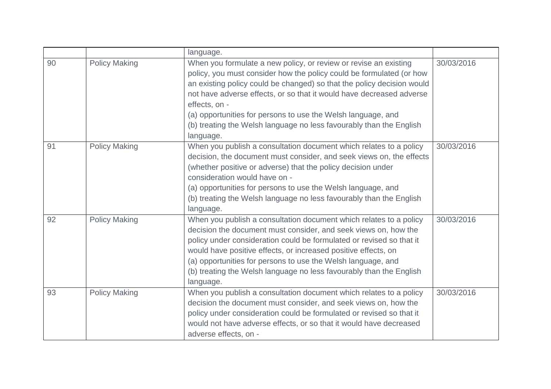|    |                      | language.                                                                                                                                                                                                                                                                                                                                                                                                                                                       |            |
|----|----------------------|-----------------------------------------------------------------------------------------------------------------------------------------------------------------------------------------------------------------------------------------------------------------------------------------------------------------------------------------------------------------------------------------------------------------------------------------------------------------|------------|
| 90 | <b>Policy Making</b> | When you formulate a new policy, or review or revise an existing<br>policy, you must consider how the policy could be formulated (or how<br>an existing policy could be changed) so that the policy decision would<br>not have adverse effects, or so that it would have decreased adverse<br>effects, on -<br>(a) opportunities for persons to use the Welsh language, and<br>(b) treating the Welsh language no less favourably than the English<br>language. | 30/03/2016 |
| 91 | <b>Policy Making</b> | When you publish a consultation document which relates to a policy<br>decision, the document must consider, and seek views on, the effects<br>(whether positive or adverse) that the policy decision under<br>consideration would have on -<br>(a) opportunities for persons to use the Welsh language, and<br>(b) treating the Welsh language no less favourably than the English<br>language.                                                                 | 30/03/2016 |
| 92 | <b>Policy Making</b> | When you publish a consultation document which relates to a policy<br>decision the document must consider, and seek views on, how the<br>policy under consideration could be formulated or revised so that it<br>would have positive effects, or increased positive effects, on<br>(a) opportunities for persons to use the Welsh language, and<br>(b) treating the Welsh language no less favourably than the English<br>language.                             | 30/03/2016 |
| 93 | <b>Policy Making</b> | When you publish a consultation document which relates to a policy<br>decision the document must consider, and seek views on, how the<br>policy under consideration could be formulated or revised so that it<br>would not have adverse effects, or so that it would have decreased<br>adverse effects, on -                                                                                                                                                    | 30/03/2016 |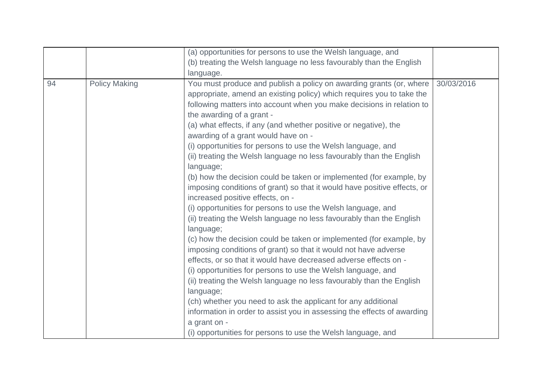|    |                      | (a) opportunities for persons to use the Welsh language, and                                                                                                                                                                                                                                                                                                                                                                                                                                                                                                                                                                                                                                                                                                                                                                                                                                                                                                                                                                                                                                                                                                                                                                      |            |
|----|----------------------|-----------------------------------------------------------------------------------------------------------------------------------------------------------------------------------------------------------------------------------------------------------------------------------------------------------------------------------------------------------------------------------------------------------------------------------------------------------------------------------------------------------------------------------------------------------------------------------------------------------------------------------------------------------------------------------------------------------------------------------------------------------------------------------------------------------------------------------------------------------------------------------------------------------------------------------------------------------------------------------------------------------------------------------------------------------------------------------------------------------------------------------------------------------------------------------------------------------------------------------|------------|
|    |                      | (b) treating the Welsh language no less favourably than the English                                                                                                                                                                                                                                                                                                                                                                                                                                                                                                                                                                                                                                                                                                                                                                                                                                                                                                                                                                                                                                                                                                                                                               |            |
|    |                      | language.                                                                                                                                                                                                                                                                                                                                                                                                                                                                                                                                                                                                                                                                                                                                                                                                                                                                                                                                                                                                                                                                                                                                                                                                                         |            |
| 94 | <b>Policy Making</b> | You must produce and publish a policy on awarding grants (or, where<br>appropriate, amend an existing policy) which requires you to take the<br>following matters into account when you make decisions in relation to<br>the awarding of a grant -<br>(a) what effects, if any (and whether positive or negative), the<br>awarding of a grant would have on -<br>(i) opportunities for persons to use the Welsh language, and<br>(ii) treating the Welsh language no less favourably than the English<br>language;<br>(b) how the decision could be taken or implemented (for example, by<br>imposing conditions of grant) so that it would have positive effects, or<br>increased positive effects, on -<br>(i) opportunities for persons to use the Welsh language, and<br>(ii) treating the Welsh language no less favourably than the English<br>language;<br>(c) how the decision could be taken or implemented (for example, by<br>imposing conditions of grant) so that it would not have adverse<br>effects, or so that it would have decreased adverse effects on -<br>(i) opportunities for persons to use the Welsh language, and<br>(ii) treating the Welsh language no less favourably than the English<br>language; | 30/03/2016 |
|    |                      | (ch) whether you need to ask the applicant for any additional                                                                                                                                                                                                                                                                                                                                                                                                                                                                                                                                                                                                                                                                                                                                                                                                                                                                                                                                                                                                                                                                                                                                                                     |            |
|    |                      | information in order to assist you in assessing the effects of awarding                                                                                                                                                                                                                                                                                                                                                                                                                                                                                                                                                                                                                                                                                                                                                                                                                                                                                                                                                                                                                                                                                                                                                           |            |
|    |                      | a grant on -                                                                                                                                                                                                                                                                                                                                                                                                                                                                                                                                                                                                                                                                                                                                                                                                                                                                                                                                                                                                                                                                                                                                                                                                                      |            |
|    |                      | (i) opportunities for persons to use the Welsh language, and                                                                                                                                                                                                                                                                                                                                                                                                                                                                                                                                                                                                                                                                                                                                                                                                                                                                                                                                                                                                                                                                                                                                                                      |            |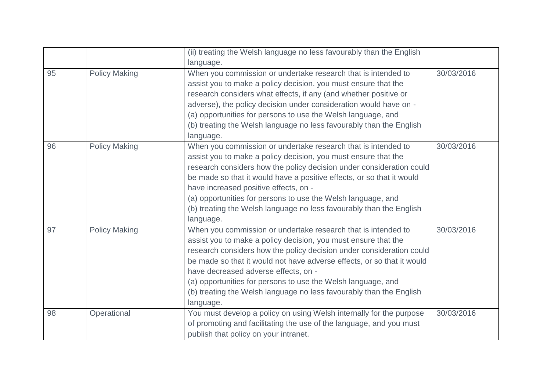|    |                      | (ii) treating the Welsh language no less favourably than the English<br>language.                                                                                                                                                                                                                                                                                                                                                                                             |            |
|----|----------------------|-------------------------------------------------------------------------------------------------------------------------------------------------------------------------------------------------------------------------------------------------------------------------------------------------------------------------------------------------------------------------------------------------------------------------------------------------------------------------------|------------|
| 95 | <b>Policy Making</b> | When you commission or undertake research that is intended to<br>assist you to make a policy decision, you must ensure that the<br>research considers what effects, if any (and whether positive or<br>adverse), the policy decision under consideration would have on -<br>(a) opportunities for persons to use the Welsh language, and<br>(b) treating the Welsh language no less favourably than the English<br>language.                                                  | 30/03/2016 |
| 96 | <b>Policy Making</b> | When you commission or undertake research that is intended to<br>assist you to make a policy decision, you must ensure that the<br>research considers how the policy decision under consideration could<br>be made so that it would have a positive effects, or so that it would<br>have increased positive effects, on -<br>(a) opportunities for persons to use the Welsh language, and<br>(b) treating the Welsh language no less favourably than the English<br>language. | 30/03/2016 |
| 97 | <b>Policy Making</b> | When you commission or undertake research that is intended to<br>assist you to make a policy decision, you must ensure that the<br>research considers how the policy decision under consideration could<br>be made so that it would not have adverse effects, or so that it would<br>have decreased adverse effects, on -<br>(a) opportunities for persons to use the Welsh language, and<br>(b) treating the Welsh language no less favourably than the English<br>language. | 30/03/2016 |
| 98 | Operational          | You must develop a policy on using Welsh internally for the purpose<br>of promoting and facilitating the use of the language, and you must<br>publish that policy on your intranet.                                                                                                                                                                                                                                                                                           | 30/03/2016 |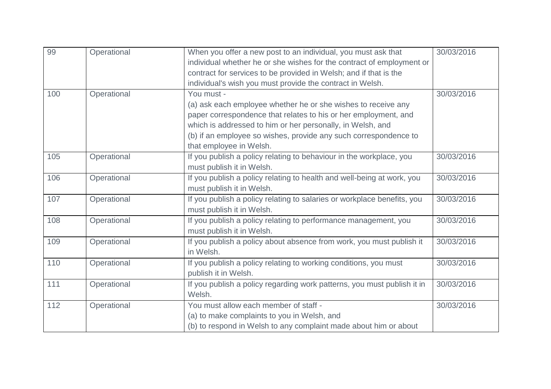| 99  | Operational | When you offer a new post to an individual, you must ask that           | 30/03/2016 |
|-----|-------------|-------------------------------------------------------------------------|------------|
|     |             | individual whether he or she wishes for the contract of employment or   |            |
|     |             | contract for services to be provided in Welsh; and if that is the       |            |
|     |             | individual's wish you must provide the contract in Welsh.               |            |
| 100 | Operational | You must -                                                              | 30/03/2016 |
|     |             | (a) ask each employee whether he or she wishes to receive any           |            |
|     |             | paper correspondence that relates to his or her employment, and         |            |
|     |             | which is addressed to him or her personally, in Welsh, and              |            |
|     |             | (b) if an employee so wishes, provide any such correspondence to        |            |
|     |             | that employee in Welsh.                                                 |            |
| 105 | Operational | If you publish a policy relating to behaviour in the workplace, you     | 30/03/2016 |
|     |             | must publish it in Welsh.                                               |            |
| 106 | Operational | If you publish a policy relating to health and well-being at work, you  | 30/03/2016 |
|     |             | must publish it in Welsh.                                               |            |
| 107 | Operational | If you publish a policy relating to salaries or workplace benefits, you | 30/03/2016 |
|     |             | must publish it in Welsh.                                               |            |
| 108 | Operational | If you publish a policy relating to performance management, you         | 30/03/2016 |
|     |             | must publish it in Welsh.                                               |            |
| 109 | Operational | If you publish a policy about absence from work, you must publish it    | 30/03/2016 |
|     |             | in Welsh.                                                               |            |
| 110 | Operational | If you publish a policy relating to working conditions, you must        | 30/03/2016 |
|     |             | publish it in Welsh.                                                    |            |
| 111 | Operational | If you publish a policy regarding work patterns, you must publish it in | 30/03/2016 |
|     |             | Welsh.                                                                  |            |
| 112 | Operational | You must allow each member of staff -                                   | 30/03/2016 |
|     |             | (a) to make complaints to you in Welsh, and                             |            |
|     |             | (b) to respond in Welsh to any complaint made about him or about        |            |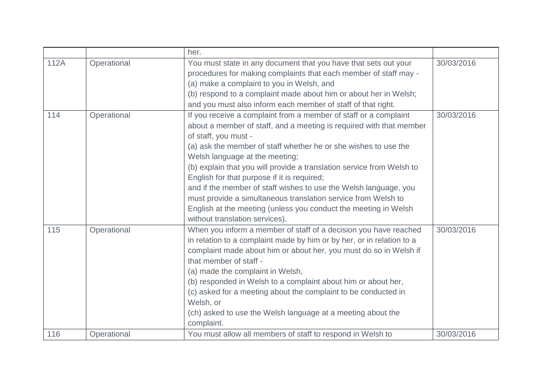|      |             | her.                                                                                                                                                                                                                                                                                                                                                                                                                                                                                                                                                                                                                                   |            |
|------|-------------|----------------------------------------------------------------------------------------------------------------------------------------------------------------------------------------------------------------------------------------------------------------------------------------------------------------------------------------------------------------------------------------------------------------------------------------------------------------------------------------------------------------------------------------------------------------------------------------------------------------------------------------|------------|
| 112A | Operational | You must state in any document that you have that sets out your<br>procedures for making complaints that each member of staff may -                                                                                                                                                                                                                                                                                                                                                                                                                                                                                                    | 30/03/2016 |
|      |             | (a) make a complaint to you in Welsh, and                                                                                                                                                                                                                                                                                                                                                                                                                                                                                                                                                                                              |            |
|      |             | (b) respond to a complaint made about him or about her in Welsh;                                                                                                                                                                                                                                                                                                                                                                                                                                                                                                                                                                       |            |
|      |             | and you must also inform each member of staff of that right.                                                                                                                                                                                                                                                                                                                                                                                                                                                                                                                                                                           |            |
| 114  | Operational | If you receive a complaint from a member of staff or a complaint<br>about a member of staff, and a meeting is required with that member<br>of staff, you must -<br>(a) ask the member of staff whether he or she wishes to use the<br>Welsh language at the meeting;<br>(b) explain that you will provide a translation service from Welsh to<br>English for that purpose if it is required;<br>and if the member of staff wishes to use the Welsh language, you<br>must provide a simultaneous translation service from Welsh to<br>English at the meeting (unless you conduct the meeting in Welsh<br>without translation services). | 30/03/2016 |
| 115  | Operational | When you inform a member of staff of a decision you have reached<br>in relation to a complaint made by him or by her, or in relation to a<br>complaint made about him or about her, you must do so in Welsh if<br>that member of staff -<br>(a) made the complaint in Welsh,<br>(b) responded in Welsh to a complaint about him or about her,<br>(c) asked for a meeting about the complaint to be conducted in<br>Welsh, or<br>(ch) asked to use the Welsh language at a meeting about the<br>complaint.                                                                                                                              | 30/03/2016 |
| 116  | Operational | You must allow all members of staff to respond in Welsh to                                                                                                                                                                                                                                                                                                                                                                                                                                                                                                                                                                             | 30/03/2016 |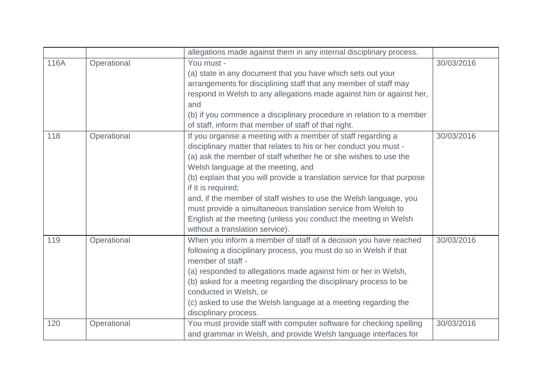|      |             | allegations made against them in any internal disciplinary process.                                                                                                                                                                                                                                                                                                                                                                                                                                                                                                                      |            |
|------|-------------|------------------------------------------------------------------------------------------------------------------------------------------------------------------------------------------------------------------------------------------------------------------------------------------------------------------------------------------------------------------------------------------------------------------------------------------------------------------------------------------------------------------------------------------------------------------------------------------|------------|
| 116A | Operational | You must -<br>(a) state in any document that you have which sets out your<br>arrangements for disciplining staff that any member of staff may<br>respond in Welsh to any allegations made against him or against her,<br>and<br>(b) if you commence a disciplinary procedure in relation to a member<br>of staff, inform that member of staff of that right.                                                                                                                                                                                                                             | 30/03/2016 |
| 118  | Operational | If you organise a meeting with a member of staff regarding a<br>disciplinary matter that relates to his or her conduct you must -<br>(a) ask the member of staff whether he or she wishes to use the<br>Welsh language at the meeting, and<br>(b) explain that you will provide a translation service for that purpose<br>if it is required;<br>and, if the member of staff wishes to use the Welsh language, you<br>must provide a simultaneous translation service from Welsh to<br>English at the meeting (unless you conduct the meeting in Welsh<br>without a translation service). | 30/03/2016 |
| 119  | Operational | When you inform a member of staff of a decision you have reached<br>following a disciplinary process, you must do so in Welsh if that<br>member of staff -<br>(a) responded to allegations made against him or her in Welsh,<br>(b) asked for a meeting regarding the disciplinary process to be<br>conducted in Welsh, or<br>(c) asked to use the Welsh language at a meeting regarding the<br>disciplinary process.                                                                                                                                                                    | 30/03/2016 |
| 120  | Operational | You must provide staff with computer software for checking spelling<br>and grammar in Welsh, and provide Welsh language interfaces for                                                                                                                                                                                                                                                                                                                                                                                                                                                   | 30/03/2016 |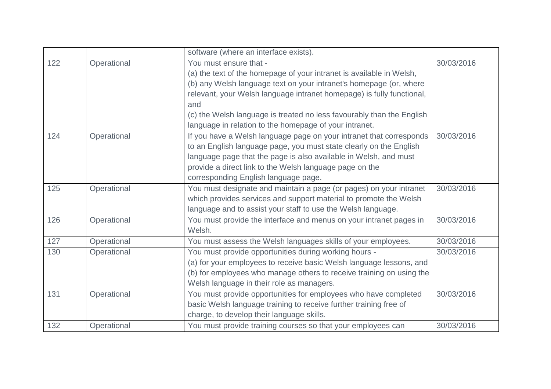|     |             | software (where an interface exists).                                 |            |
|-----|-------------|-----------------------------------------------------------------------|------------|
| 122 | Operational | You must ensure that -                                                | 30/03/2016 |
|     |             | (a) the text of the homepage of your intranet is available in Welsh,  |            |
|     |             | (b) any Welsh language text on your intranet's homepage (or, where    |            |
|     |             | relevant, your Welsh language intranet homepage) is fully functional, |            |
|     |             | and                                                                   |            |
|     |             | (c) the Welsh language is treated no less favourably than the English |            |
|     |             | language in relation to the homepage of your intranet.                |            |
| 124 | Operational | If you have a Welsh language page on your intranet that corresponds   | 30/03/2016 |
|     |             | to an English language page, you must state clearly on the English    |            |
|     |             | language page that the page is also available in Welsh, and must      |            |
|     |             | provide a direct link to the Welsh language page on the               |            |
|     |             | corresponding English language page.                                  |            |
| 125 | Operational | You must designate and maintain a page (or pages) on your intranet    | 30/03/2016 |
|     |             | which provides services and support material to promote the Welsh     |            |
|     |             | language and to assist your staff to use the Welsh language.          |            |
| 126 | Operational | You must provide the interface and menus on your intranet pages in    | 30/03/2016 |
|     |             | Welsh.                                                                |            |
| 127 | Operational | You must assess the Welsh languages skills of your employees.         | 30/03/2016 |
| 130 | Operational | You must provide opportunities during working hours -                 | 30/03/2016 |
|     |             | (a) for your employees to receive basic Welsh language lessons, and   |            |
|     |             | (b) for employees who manage others to receive training on using the  |            |
|     |             | Welsh language in their role as managers.                             |            |
| 131 | Operational | You must provide opportunities for employees who have completed       | 30/03/2016 |
|     |             | basic Welsh language training to receive further training free of     |            |
|     |             | charge, to develop their language skills.                             |            |
| 132 | Operational | You must provide training courses so that your employees can          | 30/03/2016 |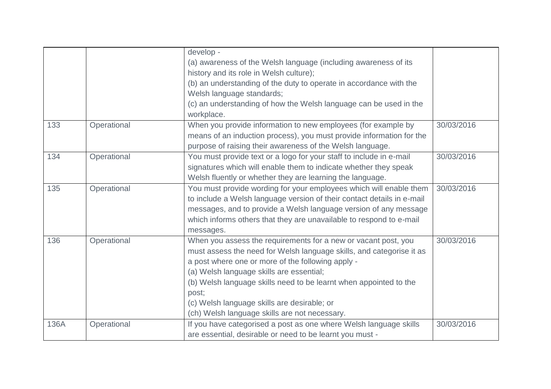|      |             | develop -<br>(a) awareness of the Welsh language (including awareness of its<br>history and its role in Welsh culture);<br>(b) an understanding of the duty to operate in accordance with the<br>Welsh language standards;                                                                                                                                                                                            |            |
|------|-------------|-----------------------------------------------------------------------------------------------------------------------------------------------------------------------------------------------------------------------------------------------------------------------------------------------------------------------------------------------------------------------------------------------------------------------|------------|
|      |             | (c) an understanding of how the Welsh language can be used in the<br>workplace.                                                                                                                                                                                                                                                                                                                                       |            |
| 133  | Operational | When you provide information to new employees (for example by<br>means of an induction process), you must provide information for the<br>purpose of raising their awareness of the Welsh language.                                                                                                                                                                                                                    | 30/03/2016 |
| 134  | Operational | You must provide text or a logo for your staff to include in e-mail<br>signatures which will enable them to indicate whether they speak<br>Welsh fluently or whether they are learning the language.                                                                                                                                                                                                                  | 30/03/2016 |
| 135  | Operational | You must provide wording for your employees which will enable them<br>to include a Welsh language version of their contact details in e-mail<br>messages, and to provide a Welsh language version of any message<br>which informs others that they are unavailable to respond to e-mail<br>messages.                                                                                                                  | 30/03/2016 |
| 136  | Operational | When you assess the requirements for a new or vacant post, you<br>must assess the need for Welsh language skills, and categorise it as<br>a post where one or more of the following apply -<br>(a) Welsh language skills are essential;<br>(b) Welsh language skills need to be learnt when appointed to the<br>post;<br>(c) Welsh language skills are desirable; or<br>(ch) Welsh language skills are not necessary. | 30/03/2016 |
| 136A | Operational | If you have categorised a post as one where Welsh language skills<br>are essential, desirable or need to be learnt you must -                                                                                                                                                                                                                                                                                         | 30/03/2016 |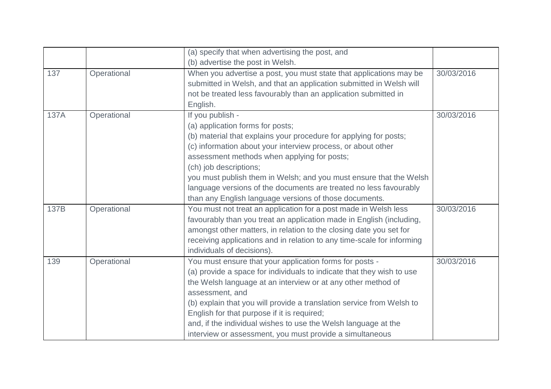|      |             | (a) specify that when advertising the post, and                                                                                                                                                              |            |
|------|-------------|--------------------------------------------------------------------------------------------------------------------------------------------------------------------------------------------------------------|------------|
|      |             | (b) advertise the post in Welsh.                                                                                                                                                                             |            |
| 137  | Operational | When you advertise a post, you must state that applications may be<br>submitted in Welsh, and that an application submitted in Welsh will<br>not be treated less favourably than an application submitted in | 30/03/2016 |
|      |             | English.                                                                                                                                                                                                     |            |
| 137A | Operational | If you publish -                                                                                                                                                                                             | 30/03/2016 |
|      |             | (a) application forms for posts;                                                                                                                                                                             |            |
|      |             | (b) material that explains your procedure for applying for posts;                                                                                                                                            |            |
|      |             | (c) information about your interview process, or about other                                                                                                                                                 |            |
|      |             | assessment methods when applying for posts;                                                                                                                                                                  |            |
|      |             | (ch) job descriptions;                                                                                                                                                                                       |            |
|      |             | you must publish them in Welsh; and you must ensure that the Welsh                                                                                                                                           |            |
|      |             | language versions of the documents are treated no less favourably                                                                                                                                            |            |
|      |             | than any English language versions of those documents.                                                                                                                                                       |            |
| 137B | Operational | You must not treat an application for a post made in Welsh less                                                                                                                                              | 30/03/2016 |
|      |             | favourably than you treat an application made in English (including,                                                                                                                                         |            |
|      |             | amongst other matters, in relation to the closing date you set for                                                                                                                                           |            |
|      |             | receiving applications and in relation to any time-scale for informing                                                                                                                                       |            |
|      |             | individuals of decisions).                                                                                                                                                                                   |            |
| 139  | Operational | You must ensure that your application forms for posts -                                                                                                                                                      | 30/03/2016 |
|      |             | (a) provide a space for individuals to indicate that they wish to use                                                                                                                                        |            |
|      |             | the Welsh language at an interview or at any other method of                                                                                                                                                 |            |
|      |             | assessment, and                                                                                                                                                                                              |            |
|      |             | (b) explain that you will provide a translation service from Welsh to                                                                                                                                        |            |
|      |             | English for that purpose if it is required;                                                                                                                                                                  |            |
|      |             | and, if the individual wishes to use the Welsh language at the                                                                                                                                               |            |
|      |             | interview or assessment, you must provide a simultaneous                                                                                                                                                     |            |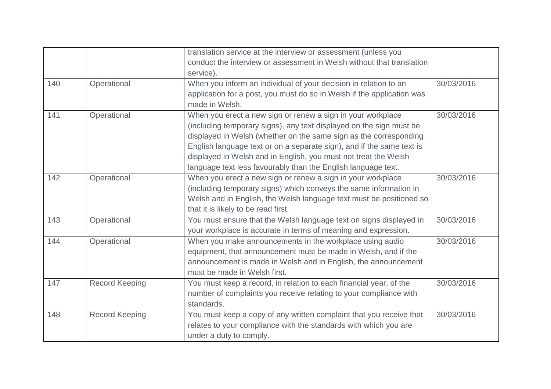|     |                       | translation service at the interview or assessment (unless you         |            |
|-----|-----------------------|------------------------------------------------------------------------|------------|
|     |                       |                                                                        |            |
|     |                       | conduct the interview or assessment in Welsh without that translation  |            |
|     |                       | service).                                                              |            |
| 140 | Operational           | When you inform an individual of your decision in relation to an       | 30/03/2016 |
|     |                       | application for a post, you must do so in Welsh if the application was |            |
|     |                       | made in Welsh.                                                         |            |
| 141 | Operational           | When you erect a new sign or renew a sign in your workplace            | 30/03/2016 |
|     |                       | (including temporary signs), any text displayed on the sign must be    |            |
|     |                       | displayed in Welsh (whether on the same sign as the corresponding      |            |
|     |                       | English language text or on a separate sign), and if the same text is  |            |
|     |                       | displayed in Welsh and in English, you must not treat the Welsh        |            |
|     |                       | language text less favourably than the English language text.          |            |
| 142 | Operational           | When you erect a new sign or renew a sign in your workplace            | 30/03/2016 |
|     |                       | (including temporary signs) which conveys the same information in      |            |
|     |                       | Welsh and in English, the Welsh language text must be positioned so    |            |
|     |                       | that it is likely to be read first.                                    |            |
| 143 | Operational           | You must ensure that the Welsh language text on signs displayed in     | 30/03/2016 |
|     |                       | your workplace is accurate in terms of meaning and expression.         |            |
| 144 | Operational           | When you make announcements in the workplace using audio               | 30/03/2016 |
|     |                       | equipment, that announcement must be made in Welsh, and if the         |            |
|     |                       | announcement is made in Welsh and in English, the announcement         |            |
|     |                       | must be made in Welsh first.                                           |            |
| 147 | <b>Record Keeping</b> | You must keep a record, in relation to each financial year, of the     | 30/03/2016 |
|     |                       | number of complaints you receive relating to your compliance with      |            |
|     |                       | standards.                                                             |            |
| 148 | <b>Record Keeping</b> | You must keep a copy of any written complaint that you receive that    | 30/03/2016 |
|     |                       | relates to your compliance with the standards with which you are       |            |
|     |                       | under a duty to comply.                                                |            |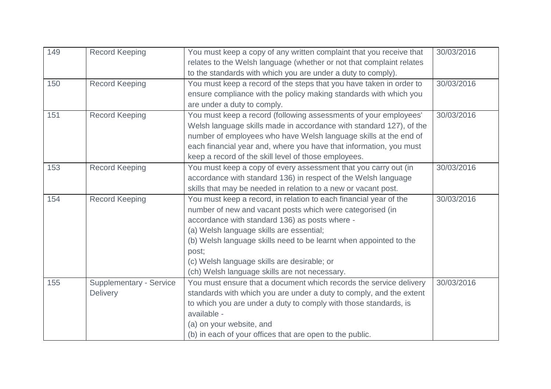| 149 | <b>Record Keeping</b>          | You must keep a copy of any written complaint that you receive that  | 30/03/2016 |
|-----|--------------------------------|----------------------------------------------------------------------|------------|
|     |                                | relates to the Welsh language (whether or not that complaint relates |            |
|     |                                | to the standards with which you are under a duty to comply).         |            |
| 150 | <b>Record Keeping</b>          | You must keep a record of the steps that you have taken in order to  | 30/03/2016 |
|     |                                | ensure compliance with the policy making standards with which you    |            |
|     |                                | are under a duty to comply.                                          |            |
| 151 | <b>Record Keeping</b>          | You must keep a record (following assessments of your employees'     | 30/03/2016 |
|     |                                | Welsh language skills made in accordance with standard 127), of the  |            |
|     |                                | number of employees who have Welsh language skills at the end of     |            |
|     |                                | each financial year and, where you have that information, you must   |            |
|     |                                | keep a record of the skill level of those employees.                 |            |
| 153 | <b>Record Keeping</b>          | You must keep a copy of every assessment that you carry out (in      | 30/03/2016 |
|     |                                | accordance with standard 136) in respect of the Welsh language       |            |
|     |                                | skills that may be needed in relation to a new or vacant post.       |            |
| 154 | <b>Record Keeping</b>          | You must keep a record, in relation to each financial year of the    | 30/03/2016 |
|     |                                | number of new and vacant posts which were categorised (in            |            |
|     |                                | accordance with standard 136) as posts where -                       |            |
|     |                                | (a) Welsh language skills are essential;                             |            |
|     |                                | (b) Welsh language skills need to be learnt when appointed to the    |            |
|     |                                | post;                                                                |            |
|     |                                | (c) Welsh language skills are desirable; or                          |            |
|     |                                | (ch) Welsh language skills are not necessary.                        |            |
| 155 | <b>Supplementary - Service</b> | You must ensure that a document which records the service delivery   | 30/03/2016 |
|     | Delivery                       | standards with which you are under a duty to comply, and the extent  |            |
|     |                                | to which you are under a duty to comply with those standards, is     |            |
|     |                                | available -                                                          |            |
|     |                                | (a) on your website, and                                             |            |
|     |                                | (b) in each of your offices that are open to the public.             |            |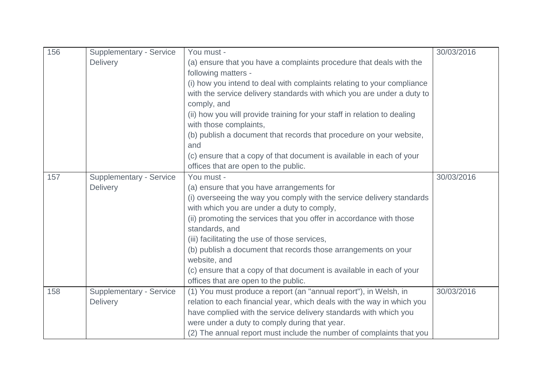| 156 | <b>Supplementary - Service</b> | You must -                                                               | 30/03/2016 |
|-----|--------------------------------|--------------------------------------------------------------------------|------------|
|     | <b>Delivery</b>                | (a) ensure that you have a complaints procedure that deals with the      |            |
|     |                                | following matters -                                                      |            |
|     |                                | (i) how you intend to deal with complaints relating to your compliance   |            |
|     |                                | with the service delivery standards with which you are under a duty to   |            |
|     |                                | comply, and                                                              |            |
|     |                                | (ii) how you will provide training for your staff in relation to dealing |            |
|     |                                | with those complaints,                                                   |            |
|     |                                | (b) publish a document that records that procedure on your website,      |            |
|     |                                | and                                                                      |            |
|     |                                | (c) ensure that a copy of that document is available in each of your     |            |
|     |                                | offices that are open to the public.                                     |            |
| 157 | Supplementary - Service        | You must -                                                               | 30/03/2016 |
|     | <b>Delivery</b>                | (a) ensure that you have arrangements for                                |            |
|     |                                | (i) overseeing the way you comply with the service delivery standards    |            |
|     |                                | with which you are under a duty to comply,                               |            |
|     |                                | (ii) promoting the services that you offer in accordance with those      |            |
|     |                                | standards, and                                                           |            |
|     |                                | (iii) facilitating the use of those services,                            |            |
|     |                                | (b) publish a document that records those arrangements on your           |            |
|     |                                | website, and                                                             |            |
|     |                                | (c) ensure that a copy of that document is available in each of your     |            |
|     |                                | offices that are open to the public.                                     |            |
| 158 | <b>Supplementary - Service</b> | (1) You must produce a report (an "annual report"), in Welsh, in         | 30/03/2016 |
|     | Delivery                       | relation to each financial year, which deals with the way in which you   |            |
|     |                                | have complied with the service delivery standards with which you         |            |
|     |                                | were under a duty to comply during that year.                            |            |
|     |                                | (2) The annual report must include the number of complaints that you     |            |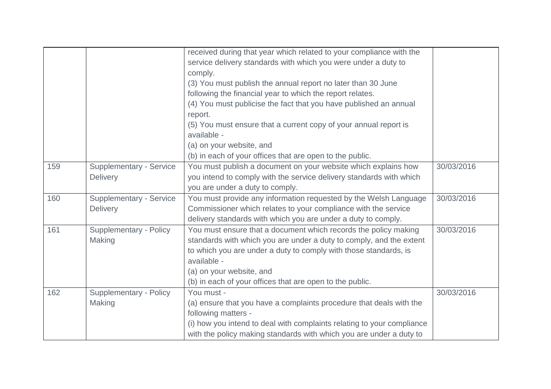|     |                                | received during that year which related to your compliance with the    |            |
|-----|--------------------------------|------------------------------------------------------------------------|------------|
|     |                                | service delivery standards with which you were under a duty to         |            |
|     |                                | comply.                                                                |            |
|     |                                | (3) You must publish the annual report no later than 30 June           |            |
|     |                                | following the financial year to which the report relates.              |            |
|     |                                | (4) You must publicise the fact that you have published an annual      |            |
|     |                                | report.                                                                |            |
|     |                                | (5) You must ensure that a current copy of your annual report is       |            |
|     |                                | available -                                                            |            |
|     |                                | (a) on your website, and                                               |            |
|     |                                | (b) in each of your offices that are open to the public.               |            |
| 159 | <b>Supplementary - Service</b> | You must publish a document on your website which explains how         | 30/03/2016 |
|     | Delivery                       | you intend to comply with the service delivery standards with which    |            |
|     |                                | you are under a duty to comply.                                        |            |
| 160 | <b>Supplementary - Service</b> | You must provide any information requested by the Welsh Language       | 30/03/2016 |
|     | <b>Delivery</b>                | Commissioner which relates to your compliance with the service         |            |
|     |                                | delivery standards with which you are under a duty to comply.          |            |
| 161 | <b>Supplementary - Policy</b>  | You must ensure that a document which records the policy making        | 30/03/2016 |
|     | Making                         | standards with which you are under a duty to comply, and the extent    |            |
|     |                                | to which you are under a duty to comply with those standards, is       |            |
|     |                                | available -                                                            |            |
|     |                                | (a) on your website, and                                               |            |
|     |                                | (b) in each of your offices that are open to the public.               |            |
| 162 | Supplementary - Policy         | You must -                                                             | 30/03/2016 |
|     | Making                         | (a) ensure that you have a complaints procedure that deals with the    |            |
|     |                                | following matters -                                                    |            |
|     |                                | (i) how you intend to deal with complaints relating to your compliance |            |
|     |                                | with the policy making standards with which you are under a duty to    |            |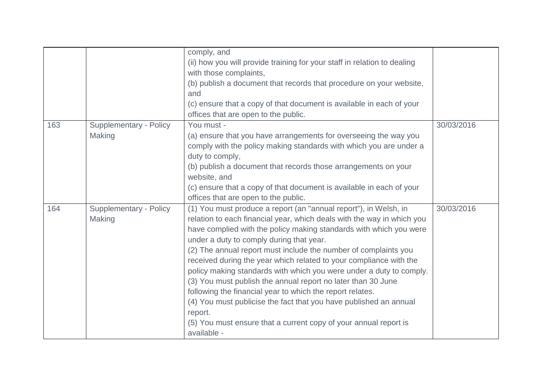|     |                                  | comply, and<br>(ii) how you will provide training for your staff in relation to dealing<br>with those complaints,<br>(b) publish a document that records that procedure on your website,<br>and<br>(c) ensure that a copy of that document is available in each of your                                                                                                                                                                                                                                                                                                                                                                                                                                                                                                      |            |
|-----|----------------------------------|------------------------------------------------------------------------------------------------------------------------------------------------------------------------------------------------------------------------------------------------------------------------------------------------------------------------------------------------------------------------------------------------------------------------------------------------------------------------------------------------------------------------------------------------------------------------------------------------------------------------------------------------------------------------------------------------------------------------------------------------------------------------------|------------|
|     |                                  | offices that are open to the public.                                                                                                                                                                                                                                                                                                                                                                                                                                                                                                                                                                                                                                                                                                                                         |            |
| 163 | Supplementary - Policy<br>Making | You must -<br>(a) ensure that you have arrangements for overseeing the way you<br>comply with the policy making standards with which you are under a<br>duty to comply,<br>(b) publish a document that records those arrangements on your<br>website, and<br>(c) ensure that a copy of that document is available in each of your                                                                                                                                                                                                                                                                                                                                                                                                                                            | 30/03/2016 |
|     |                                  | offices that are open to the public.                                                                                                                                                                                                                                                                                                                                                                                                                                                                                                                                                                                                                                                                                                                                         |            |
| 164 | Supplementary - Policy<br>Making | (1) You must produce a report (an "annual report"), in Welsh, in<br>relation to each financial year, which deals with the way in which you<br>have complied with the policy making standards with which you were<br>under a duty to comply during that year.<br>(2) The annual report must include the number of complaints you<br>received during the year which related to your compliance with the<br>policy making standards with which you were under a duty to comply.<br>(3) You must publish the annual report no later than 30 June<br>following the financial year to which the report relates.<br>(4) You must publicise the fact that you have published an annual<br>report.<br>(5) You must ensure that a current copy of your annual report is<br>available - | 30/03/2016 |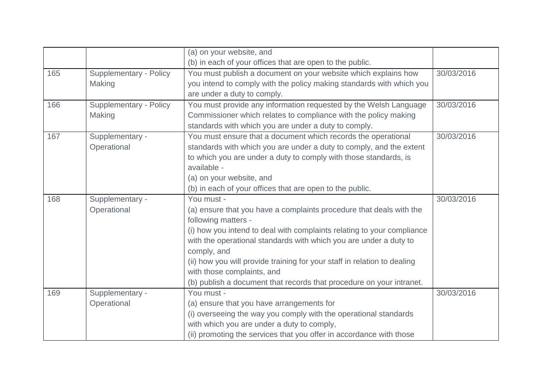|     |                               | (a) on your website, and                                                 |            |
|-----|-------------------------------|--------------------------------------------------------------------------|------------|
|     |                               | (b) in each of your offices that are open to the public.                 |            |
| 165 | <b>Supplementary - Policy</b> | You must publish a document on your website which explains how           | 30/03/2016 |
|     | Making                        | you intend to comply with the policy making standards with which you     |            |
|     |                               | are under a duty to comply.                                              |            |
| 166 | <b>Supplementary - Policy</b> | You must provide any information requested by the Welsh Language         | 30/03/2016 |
|     | Making                        | Commissioner which relates to compliance with the policy making          |            |
|     |                               | standards with which you are under a duty to comply.                     |            |
| 167 | Supplementary -               | You must ensure that a document which records the operational            | 30/03/2016 |
|     | Operational                   | standards with which you are under a duty to comply, and the extent      |            |
|     |                               | to which you are under a duty to comply with those standards, is         |            |
|     |                               | available -                                                              |            |
|     |                               | (a) on your website, and                                                 |            |
|     |                               | (b) in each of your offices that are open to the public.                 |            |
| 168 | Supplementary -               | You must -                                                               | 30/03/2016 |
|     | Operational                   | (a) ensure that you have a complaints procedure that deals with the      |            |
|     |                               | following matters -                                                      |            |
|     |                               | (i) how you intend to deal with complaints relating to your compliance   |            |
|     |                               | with the operational standards with which you are under a duty to        |            |
|     |                               | comply, and                                                              |            |
|     |                               | (ii) how you will provide training for your staff in relation to dealing |            |
|     |                               | with those complaints, and                                               |            |
|     |                               | (b) publish a document that records that procedure on your intranet.     |            |
| 169 | Supplementary -               | You must -                                                               | 30/03/2016 |
|     | Operational                   | (a) ensure that you have arrangements for                                |            |
|     |                               | (i) overseeing the way you comply with the operational standards         |            |
|     |                               | with which you are under a duty to comply,                               |            |
|     |                               | (ii) promoting the services that you offer in accordance with those      |            |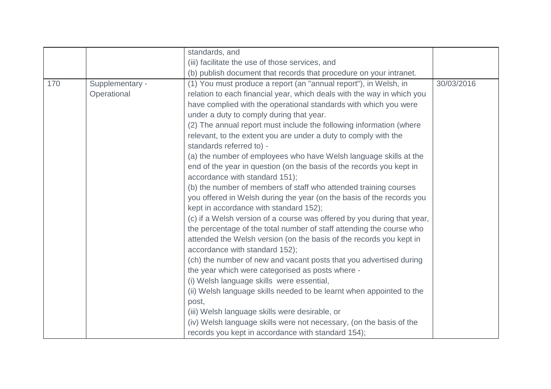|     |                 | standards, and                                                          |            |
|-----|-----------------|-------------------------------------------------------------------------|------------|
|     |                 | (iii) facilitate the use of those services, and                         |            |
|     |                 | (b) publish document that records that procedure on your intranet.      |            |
| 170 | Supplementary - | (1) You must produce a report (an "annual report"), in Welsh, in        | 30/03/2016 |
|     | Operational     | relation to each financial year, which deals with the way in which you  |            |
|     |                 | have complied with the operational standards with which you were        |            |
|     |                 | under a duty to comply during that year.                                |            |
|     |                 | (2) The annual report must include the following information (where     |            |
|     |                 | relevant, to the extent you are under a duty to comply with the         |            |
|     |                 | standards referred to) -                                                |            |
|     |                 | (a) the number of employees who have Welsh language skills at the       |            |
|     |                 | end of the year in question (on the basis of the records you kept in    |            |
|     |                 | accordance with standard 151);                                          |            |
|     |                 | (b) the number of members of staff who attended training courses        |            |
|     |                 | you offered in Welsh during the year (on the basis of the records you   |            |
|     |                 | kept in accordance with standard 152);                                  |            |
|     |                 | (c) if a Welsh version of a course was offered by you during that year, |            |
|     |                 | the percentage of the total number of staff attending the course who    |            |
|     |                 | attended the Welsh version (on the basis of the records you kept in     |            |
|     |                 | accordance with standard 152);                                          |            |
|     |                 | (ch) the number of new and vacant posts that you advertised during      |            |
|     |                 | the year which were categorised as posts where -                        |            |
|     |                 | (i) Welsh language skills were essential,                               |            |
|     |                 | (ii) Welsh language skills needed to be learnt when appointed to the    |            |
|     |                 | post,                                                                   |            |
|     |                 | (iii) Welsh language skills were desirable, or                          |            |
|     |                 | (iv) Welsh language skills were not necessary, (on the basis of the     |            |
|     |                 | records you kept in accordance with standard 154);                      |            |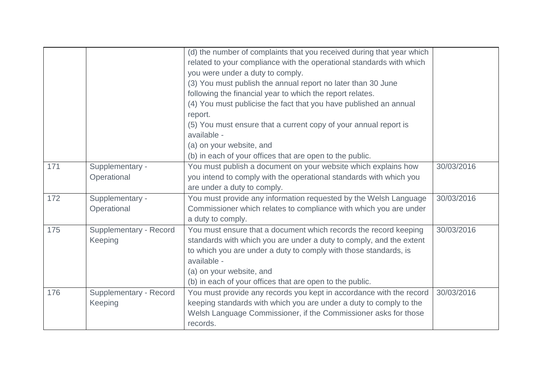|     |                                   | (d) the number of complaints that you received during that year which<br>related to your compliance with the operational standards with which<br>you were under a duty to comply.<br>(3) You must publish the annual report no later than 30 June<br>following the financial year to which the report relates.<br>(4) You must publicise the fact that you have published an annual<br>report.<br>(5) You must ensure that a current copy of your annual report is |            |
|-----|-----------------------------------|--------------------------------------------------------------------------------------------------------------------------------------------------------------------------------------------------------------------------------------------------------------------------------------------------------------------------------------------------------------------------------------------------------------------------------------------------------------------|------------|
|     |                                   | available -<br>(a) on your website, and<br>(b) in each of your offices that are open to the public.                                                                                                                                                                                                                                                                                                                                                                |            |
| 171 | Supplementary -<br>Operational    | You must publish a document on your website which explains how<br>you intend to comply with the operational standards with which you<br>are under a duty to comply.                                                                                                                                                                                                                                                                                                | 30/03/2016 |
| 172 | Supplementary -<br>Operational    | You must provide any information requested by the Welsh Language<br>Commissioner which relates to compliance with which you are under<br>a duty to comply.                                                                                                                                                                                                                                                                                                         | 30/03/2016 |
| 175 | Supplementary - Record<br>Keeping | You must ensure that a document which records the record keeping<br>standards with which you are under a duty to comply, and the extent<br>to which you are under a duty to comply with those standards, is<br>available -<br>(a) on your website, and<br>(b) in each of your offices that are open to the public.                                                                                                                                                 | 30/03/2016 |
| 176 | Supplementary - Record<br>Keeping | You must provide any records you kept in accordance with the record<br>keeping standards with which you are under a duty to comply to the<br>Welsh Language Commissioner, if the Commissioner asks for those<br>records.                                                                                                                                                                                                                                           | 30/03/2016 |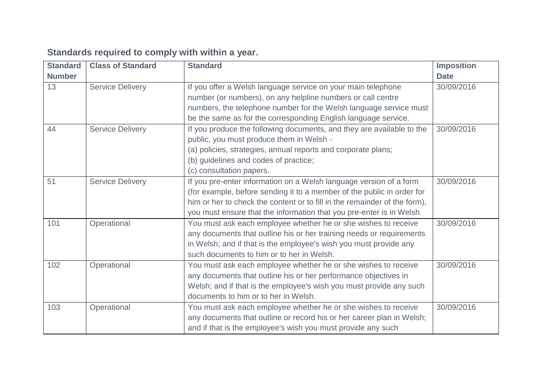| <b>Standard</b> | <b>Class of Standard</b> | <b>Standard</b>                                                                                                             | <b>Imposition</b> |
|-----------------|--------------------------|-----------------------------------------------------------------------------------------------------------------------------|-------------------|
| <b>Number</b>   |                          |                                                                                                                             | <b>Date</b>       |
| 13              | <b>Service Delivery</b>  | If you offer a Welsh language service on your main telephone<br>number (or numbers), on any helpline numbers or call centre | 30/09/2016        |
|                 |                          | numbers, the telephone number for the Welsh language service must                                                           |                   |
|                 |                          | be the same as for the corresponding English language service.                                                              |                   |
| 44              | <b>Service Delivery</b>  | If you produce the following documents, and they are available to the<br>public, you must produce them in Welsh -           | 30/09/2016        |
|                 |                          | (a) policies, strategies, annual reports and corporate plans;                                                               |                   |
|                 |                          | (b) guidelines and codes of practice;                                                                                       |                   |
|                 |                          | (c) consultation papers.                                                                                                    |                   |
| 51              | <b>Service Delivery</b>  | If you pre-enter information on a Welsh language version of a form                                                          | 30/09/2016        |
|                 |                          | (for example, before sending it to a member of the public in order for                                                      |                   |
|                 |                          | him or her to check the content or to fill in the remainder of the form),                                                   |                   |
|                 |                          | you must ensure that the information that you pre-enter is in Welsh.                                                        |                   |
| 101             | Operational              | You must ask each employee whether he or she wishes to receive                                                              | 30/09/2016        |
|                 |                          | any documents that outline his or her training needs or requirements                                                        |                   |
|                 |                          | in Welsh; and if that is the employee's wish you must provide any                                                           |                   |
|                 |                          | such documents to him or to her in Welsh.                                                                                   |                   |
| 102             | Operational              | You must ask each employee whether he or she wishes to receive                                                              | 30/09/2016        |
|                 |                          | any documents that outline his or her performance objectives in                                                             |                   |
|                 |                          | Welsh; and if that is the employee's wish you must provide any such                                                         |                   |
|                 |                          | documents to him or to her in Welsh.                                                                                        |                   |
| 103             | Operational              | You must ask each employee whether he or she wishes to receive                                                              | 30/09/2016        |
|                 |                          | any documents that outline or record his or her career plan in Welsh;                                                       |                   |
|                 |                          | and if that is the employee's wish you must provide any such                                                                |                   |

# **Standards required to comply with within a year.**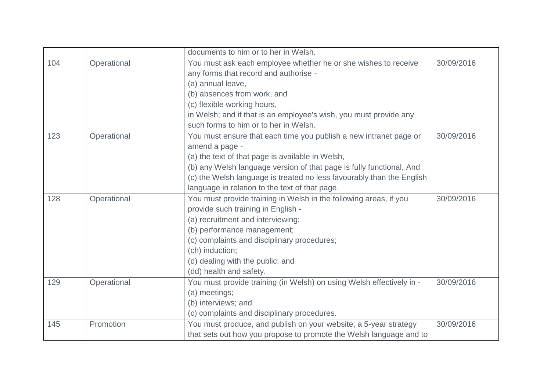|     |             | documents to him or to her in Welsh.                                  |            |
|-----|-------------|-----------------------------------------------------------------------|------------|
| 104 | Operational | You must ask each employee whether he or she wishes to receive        | 30/09/2016 |
|     |             | any forms that record and authorise -                                 |            |
|     |             | (a) annual leave,                                                     |            |
|     |             | (b) absences from work, and                                           |            |
|     |             | (c) flexible working hours,                                           |            |
|     |             | in Welsh; and if that is an employee's wish, you must provide any     |            |
|     |             | such forms to him or to her in Welsh.                                 |            |
| 123 | Operational | You must ensure that each time you publish a new intranet page or     | 30/09/2016 |
|     |             | amend a page -                                                        |            |
|     |             | (a) the text of that page is available in Welsh,                      |            |
|     |             | (b) any Welsh language version of that page is fully functional, And  |            |
|     |             | (c) the Welsh language is treated no less favourably than the English |            |
|     |             | language in relation to the text of that page.                        |            |
| 128 | Operational | You must provide training in Welsh in the following areas, if you     | 30/09/2016 |
|     |             | provide such training in English -                                    |            |
|     |             | (a) recruitment and interviewing;                                     |            |
|     |             | (b) performance management;                                           |            |
|     |             | (c) complaints and disciplinary procedures;                           |            |
|     |             | (ch) induction;                                                       |            |
|     |             | (d) dealing with the public; and                                      |            |
|     |             | (dd) health and safety.                                               |            |
| 129 | Operational | You must provide training (in Welsh) on using Welsh effectively in -  | 30/09/2016 |
|     |             | (a) meetings;                                                         |            |
|     |             | (b) interviews; and                                                   |            |
|     |             | (c) complaints and disciplinary procedures.                           |            |
| 145 | Promotion   | You must produce, and publish on your website, a 5-year strategy      | 30/09/2016 |
|     |             | that sets out how you propose to promote the Welsh language and to    |            |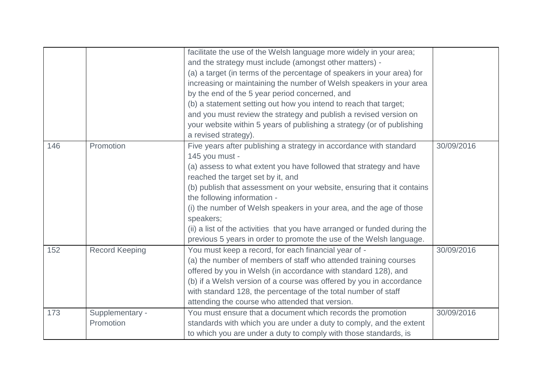|     |                              | facilitate the use of the Welsh language more widely in your area;<br>and the strategy must include (amongst other matters) -<br>(a) a target (in terms of the percentage of speakers in your area) for<br>increasing or maintaining the number of Welsh speakers in your area<br>by the end of the 5 year period concerned, and<br>(b) a statement setting out how you intend to reach that target;<br>and you must review the strategy and publish a revised version on<br>your website within 5 years of publishing a strategy (or of publishing<br>a revised strategy). |            |
|-----|------------------------------|-----------------------------------------------------------------------------------------------------------------------------------------------------------------------------------------------------------------------------------------------------------------------------------------------------------------------------------------------------------------------------------------------------------------------------------------------------------------------------------------------------------------------------------------------------------------------------|------------|
| 146 | Promotion                    | Five years after publishing a strategy in accordance with standard<br>145 you must -<br>(a) assess to what extent you have followed that strategy and have<br>reached the target set by it, and<br>(b) publish that assessment on your website, ensuring that it contains<br>the following information -<br>(i) the number of Welsh speakers in your area, and the age of those<br>speakers;<br>(ii) a list of the activities that you have arranged or funded during the<br>previous 5 years in order to promote the use of the Welsh language.                            | 30/09/2016 |
| 152 | <b>Record Keeping</b>        | You must keep a record, for each financial year of -<br>(a) the number of members of staff who attended training courses<br>offered by you in Welsh (in accordance with standard 128), and<br>(b) if a Welsh version of a course was offered by you in accordance<br>with standard 128, the percentage of the total number of staff<br>attending the course who attended that version.                                                                                                                                                                                      | 30/09/2016 |
| 173 | Supplementary -<br>Promotion | You must ensure that a document which records the promotion<br>standards with which you are under a duty to comply, and the extent<br>to which you are under a duty to comply with those standards, is                                                                                                                                                                                                                                                                                                                                                                      | 30/09/2016 |